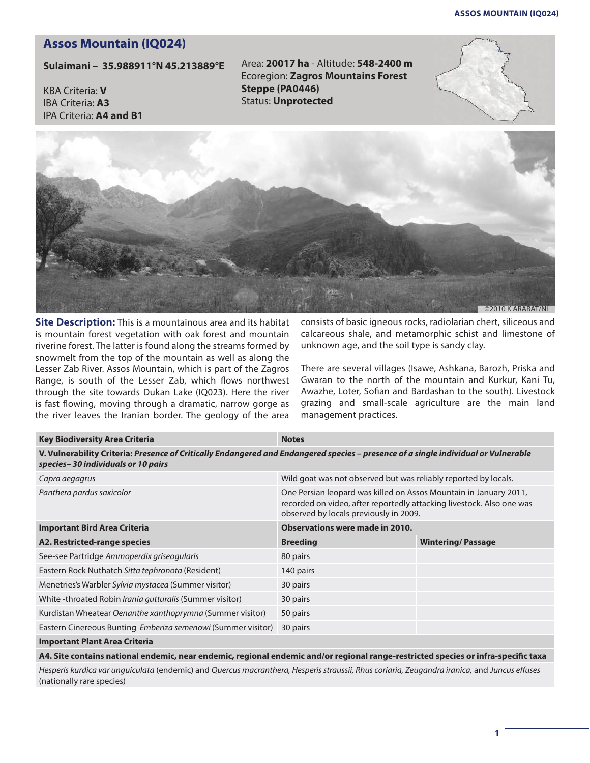## **Assos Mountain (iq024)**

## **Assos Mountain (IQ024)**

**Sulaimani – 35.988911°N 45.213889°E**

KBA Criteria: **V** IBA Criteria: **A3** IPA Criteria: **A4 and B1** Area: **20017 ha** - Altitude: **548-2400 m** Ecoregion: **Zagros Mountains Forest Steppe (PA0446)** Status: **Unprotected** 





**Site Description:** This is a mountainous area and its habitat is mountain forest vegetation with oak forest and mountain riverine forest. The latter is found along the streams formed by snowmelt from the top of the mountain as well as along the Lesser Zab River. Assos Mountain, which is part of the Zagros Range, is south of the Lesser Zab, which flows northwest through the site towards Dukan Lake (IQ023). Here the river is fast flowing, moving through a dramatic, narrow gorge as the river leaves the Iranian border. The geology of the area consists of basic igneous rocks, radiolarian chert, siliceous and calcareous shale, and metamorphic schist and limestone of unknown age, and the soil type is sandy clay.

There are several villages (Isawe, Ashkana, Barozh, Priska and Gwaran to the north of the mountain and Kurkur, Kani Tu, Awazhe, Loter, Sofian and Bardashan to the south). Livestock grazing and small-scale agriculture are the main land management practices.

| <b>Key Biodiversity Area Criteria</b>                                                                                                                                     | <b>Notes</b>                                                                                                                                                                         |                          |
|---------------------------------------------------------------------------------------------------------------------------------------------------------------------------|--------------------------------------------------------------------------------------------------------------------------------------------------------------------------------------|--------------------------|
| V. Vulnerability Criteria: Presence of Critically Endangered and Endangered species - presence of a single individual or Vulnerable<br>species-30 individuals or 10 pairs |                                                                                                                                                                                      |                          |
| Capra aegagrus                                                                                                                                                            | Wild goat was not observed but was reliably reported by locals.                                                                                                                      |                          |
| Panthera pardus saxicolor                                                                                                                                                 | One Persian leopard was killed on Assos Mountain in January 2011,<br>recorded on video, after reportedly attacking livestock. Also one was<br>observed by locals previously in 2009. |                          |
| <b>Important Bird Area Criteria</b>                                                                                                                                       | <b>Observations were made in 2010.</b>                                                                                                                                               |                          |
| A2. Restricted-range species                                                                                                                                              | <b>Breeding</b>                                                                                                                                                                      | <b>Wintering/Passage</b> |
| See-see Partridge Ammoperdix griseogularis                                                                                                                                | 80 pairs                                                                                                                                                                             |                          |
| Eastern Rock Nuthatch Sitta tephronota (Resident)                                                                                                                         | 140 pairs                                                                                                                                                                            |                          |
| Menetries's Warbler Sylvia mystacea (Summer visitor)                                                                                                                      | 30 pairs                                                                                                                                                                             |                          |
| White -throated Robin <i>Irania gutturalis</i> (Summer visitor)                                                                                                           | 30 pairs                                                                                                                                                                             |                          |
| Kurdistan Wheatear Oenanthe xanthoprymna (Summer visitor)                                                                                                                 | 50 pairs                                                                                                                                                                             |                          |
| Eastern Cinereous Bunting Emberiza semenowi (Summer visitor)                                                                                                              | 30 pairs                                                                                                                                                                             |                          |
| <b>Important Plant Area Criteria</b>                                                                                                                                      |                                                                                                                                                                                      |                          |
|                                                                                                                                                                           |                                                                                                                                                                                      |                          |

**A4. Site contains national endemic, near endemic, regional endemic and/or regional range-restricted species or infra-specific taxa**

*Hesperis kurdica var unguiculata* (endemic) and *Quercus macranthera, Hesperis straussii, Rhus coriaria, Zeugandra iranica,* and *Juncus effuses*  (nationally rare species)